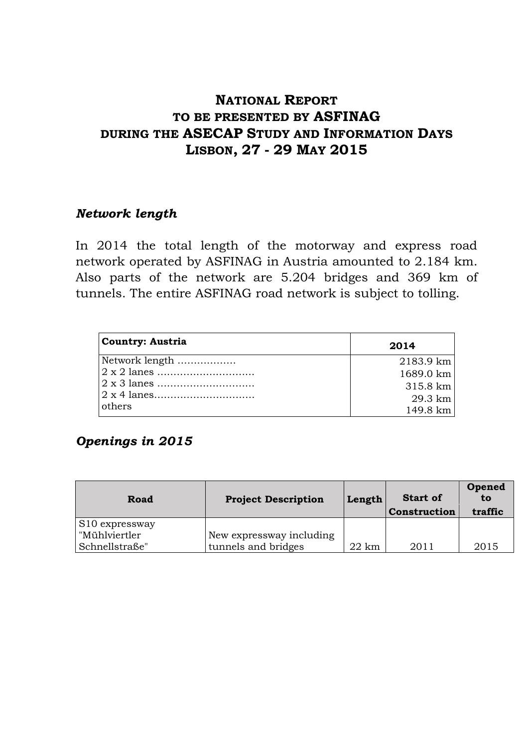# **NATIONAL REPORT TO BE PRESENTED BY ASFINAG DURING THE ASECAP STUDY AND INFORMATION DAYS LISBON, 27 - 29 MAY 2015**

### *Network length*

In 2014 the total length of the motorway and express road network operated by ASFINAG in Austria amounted to 2.184 km. Also parts of the network are 5.204 bridges and 369 km of tunnels. The entire ASFINAG road network is subject to tolling.

| <b>Country: Austria</b> | 2014      |
|-------------------------|-----------|
| Network length          | 2183.9 km |
|                         | 1689.0 km |
|                         | 315.8 km  |
|                         | 29.3 km   |
| others                  | 149.8 km  |

# *Openings in 2015*

| Road             | <b>Project Description</b> | Length          | <b>Start of</b><br>Construction | Opened<br>to<br>traffic |
|------------------|----------------------------|-----------------|---------------------------------|-------------------------|
| $S10$ expressway |                            |                 |                                 |                         |
| "Mühlviertler    | New expressway including   |                 |                                 |                         |
| Schnellstraße"   | tunnels and bridges        | $22 \text{ km}$ | 2011                            | 2015                    |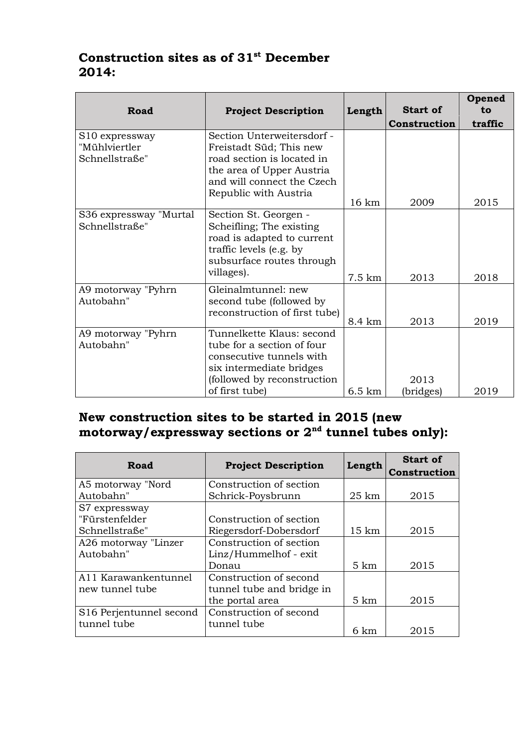# **Construction sites as of 31st December 2014:**

| <b>Road</b>                                                   | <b>Project Description</b>                                                                                                                                              | Length           | <b>Start of</b>   | Opened<br>to |
|---------------------------------------------------------------|-------------------------------------------------------------------------------------------------------------------------------------------------------------------------|------------------|-------------------|--------------|
|                                                               |                                                                                                                                                                         |                  | Construction      | traffic      |
| S <sub>10</sub> expressway<br>"Mühlviertler<br>Schnellstraße" | Section Unterweitersdorf -<br>Freistadt Süd; This new<br>road section is located in<br>the area of Upper Austria<br>and will connect the Czech<br>Republic with Austria | 16 km            | 2009              | 2015         |
| S36 expressway "Murtal<br>Schnellstraße"                      | Section St. Georgen -<br>Scheifling; The existing<br>road is adapted to current<br>traffic levels (e.g. by<br>subsurface routes through<br>villages).                   | 7.5 km           | 2013              | 2018         |
| A9 motorway "Pyhrn<br>Autobahn"                               | Gleinalmtunnel: new<br>second tube (followed by<br>reconstruction of first tube)                                                                                        | 8.4 km           | 2013              | 2019         |
| A9 motorway "Pyhrn<br>Autobahn"                               | Tunnelkette Klaus: second<br>tube for a section of four<br>consecutive tunnels with<br>six intermediate bridges<br>(followed by reconstruction<br>of first tube)        | $6.5 \text{ km}$ | 2013<br>(bridges) | 2019         |

# **New construction sites to be started in 2015 (new motorway/expressway sections or 2nd tunnel tubes only):**

| Road                    | <b>Project Description</b> | Length           | <b>Start of</b><br>Construction |
|-------------------------|----------------------------|------------------|---------------------------------|
| A5 motorway "Nord       | Construction of section    |                  |                                 |
| Autobahn"               | Schrick-Poysbrunn          | $25 \mathrm{km}$ | 2015                            |
| S7 expressway           |                            |                  |                                 |
| "Fürstenfelder          | Construction of section    |                  |                                 |
| Schnellstraße"          | Riegersdorf-Dobersdorf     | $15 \mathrm{km}$ | 2015                            |
| A26 motorway "Linzer    | Construction of section    |                  |                                 |
| Autobahn"               | Linz/Hummelhof - exit      |                  |                                 |
|                         | Donau                      | $5 \text{ km}$   | 2015                            |
| A11 Karawankentunnel    | Construction of second     |                  |                                 |
| new tunnel tube         | tunnel tube and bridge in  |                  |                                 |
|                         | the portal area            | $5 \mathrm{km}$  | 2015                            |
| S16 Perjentunnel second | Construction of second     |                  |                                 |
| tunnel tube             | tunnel tube                | 6 km             | 2015                            |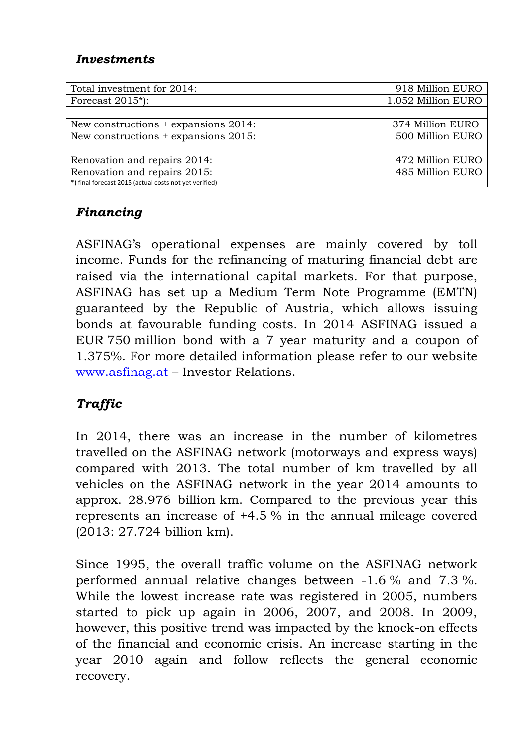## *Investments*

| Total investment for 2014:                             | 918 Million EURO   |
|--------------------------------------------------------|--------------------|
| Forecast $2015$ <sup>*</sup> ):                        | 1.052 Million EURO |
|                                                        |                    |
| New constructions + expansions 2014:                   | 374 Million EURO   |
| New constructions + expansions 2015:                   | 500 Million EURO   |
|                                                        |                    |
| Renovation and repairs 2014:                           | 472 Million EURO   |
| Renovation and repairs 2015:                           | 485 Million EURO   |
| *) final forecast 2015 (actual costs not yet verified) |                    |

# *Financing*

ASFINAG's operational expenses are mainly covered by toll income. Funds for the refinancing of maturing financial debt are raised via the international capital markets. For that purpose, ASFINAG has set up a Medium Term Note Programme (EMTN) guaranteed by the Republic of Austria, which allows issuing bonds at favourable funding costs. In 2014 ASFINAG issued a EUR 750 million bond with a 7 year maturity and a coupon of 1.375%. For more detailed information please refer to our website [www.asfinag.at](http://www.asfinag.at/) – Investor Relations.

# *Traffic*

In 2014, there was an increase in the number of kilometres travelled on the ASFINAG network (motorways and express ways) compared with 2013. The total number of km travelled by all vehicles on the ASFINAG network in the year 2014 amounts to approx. 28.976 billion km. Compared to the previous year this represents an increase of +4.5 % in the annual mileage covered (2013: 27.724 billion km).

Since 1995, the overall traffic volume on the ASFINAG network performed annual relative changes between -1.6 % and 7.3 %. While the lowest increase rate was registered in 2005, numbers started to pick up again in 2006, 2007, and 2008. In 2009, however, this positive trend was impacted by the knock-on effects of the financial and economic crisis. An increase starting in the year 2010 again and follow reflects the general economic recovery.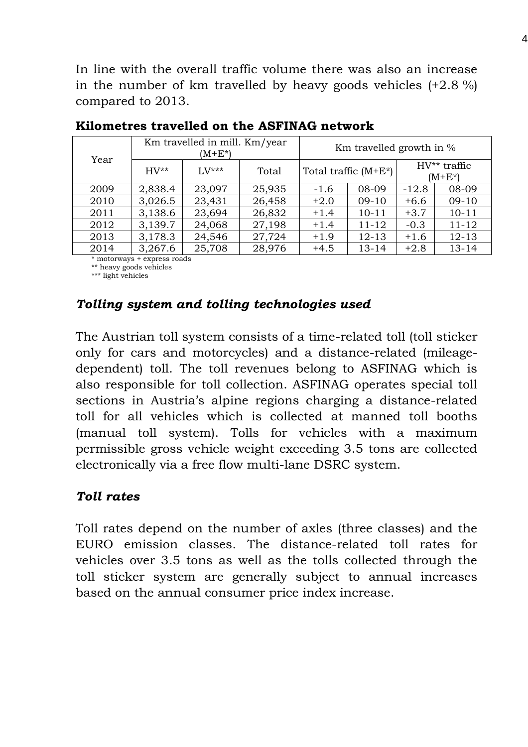In line with the overall traffic volume there was also an increase in the number of km travelled by heavy goods vehicles  $(+2.8\%)$ compared to 2013.

|      |           | Km travelled in mill. Km/year<br>$(M+E^*)$ |        | Km travelled growth in % |           |         |                                |
|------|-----------|--------------------------------------------|--------|--------------------------|-----------|---------|--------------------------------|
| Year | $HV^{**}$ | $1. V^{***}$                               | Total  | Total traffic $(M+E^*)$  |           |         | $HV^{**}$ traffic<br>$(M+E^*)$ |
| 2009 | 2,838.4   | 23,097                                     | 25,935 | $-1.6$                   | 08-09     | $-12.8$ | 08-09                          |
| 2010 | 3,026.5   | 23,431                                     | 26,458 | $+2.0$                   | $09-10$   | $+6.6$  | $09-10$                        |
| 2011 | 3,138.6   | 23,694                                     | 26,832 | $+1.4$                   | $10 - 11$ | $+3.7$  | $10 - 11$                      |
| 2012 | 3,139.7   | 24,068                                     | 27,198 | $+1.4$                   | $11 - 12$ | $-0.3$  | $11 - 12$                      |
| 2013 | 3,178.3   | 24,546                                     | 27,724 | $+1.9$                   | $12 - 13$ | $+1.6$  | $12 - 13$                      |
| 2014 | 3,267.6   | 25,708                                     | 28,976 | $+4.5$                   | $13 - 14$ | $+2.8$  | $13 - 14$                      |

### **Kilometres travelled on the ASFINAG network**

\* motorways + express roads

\*\* heavy goods vehicles

\*\*\* light vehicles

## *Tolling system and tolling technologies used*

The Austrian toll system consists of a time-related toll (toll sticker only for cars and motorcycles) and a distance-related (mileagedependent) toll. The toll revenues belong to ASFINAG which is also responsible for toll collection. ASFINAG operates special toll sections in Austria's alpine regions charging a distance-related toll for all vehicles which is collected at manned toll booths (manual toll system). Tolls for vehicles with a maximum permissible gross vehicle weight exceeding 3.5 tons are collected electronically via a free flow multi-lane DSRC system.

# *Toll rates*

Toll rates depend on the number of axles (three classes) and the EURO emission classes. The distance-related toll rates for vehicles over 3.5 tons as well as the tolls collected through the toll sticker system are generally subject to annual increases based on the annual consumer price index increase.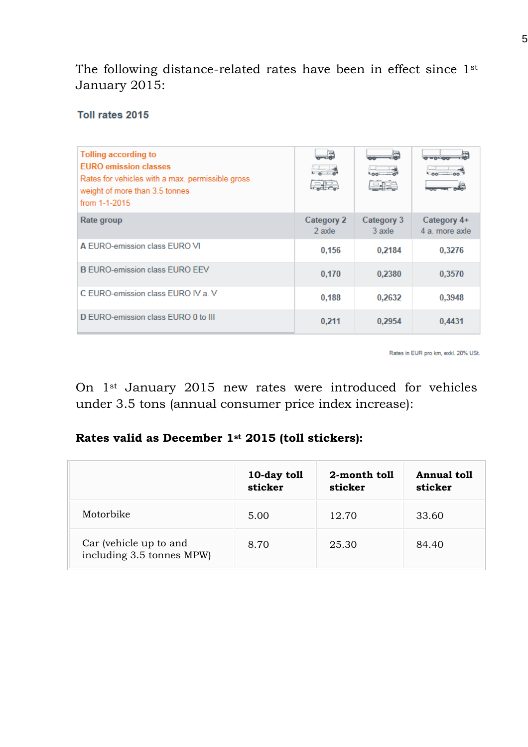The following distance-related rates have been in effect since 1st January 2015:

#### Toll rates 2015

| Tolling according to<br><b>FURO emission classes</b><br>Rates for vehicles with a max. permissible gross<br>weight of more than 3.5 tonnes<br>from $1-1-2015$ | $\sim$ $\sigma$<br>والمنا   | 음문                   | $0 = 0 - 100$                 |
|---------------------------------------------------------------------------------------------------------------------------------------------------------------|-----------------------------|----------------------|-------------------------------|
| Rate group                                                                                                                                                    | <b>Category 2</b><br>2 axle | Category 3<br>3 axle | Category 4+<br>4 a. more axle |
| A EURO-emission class EURO VI                                                                                                                                 | 0.156                       | 0.2184               | 0.3276                        |
| <b>B EURO-emission class EURO EEV</b>                                                                                                                         | 0.170                       | 0.2380               | 0,3570                        |
| C EURO-emission class EURO IV a. V                                                                                                                            | 0.188                       | 0,2632               | 0,3948                        |
| D EURO-emission class EURO 0 to III                                                                                                                           | 0,211                       | 0,2954               | 0,4431                        |

Rates in EUR pro km, exkl. 20% USt.

On 1st January 2015 new rates were introduced for vehicles under 3.5 tons (annual consumer price index increase):

### **Rates valid as December 1st 2015 (toll stickers):**

|                                                     | 10-day toll<br>sticker | 2-month toll<br>sticker | <b>Annual toll</b><br>sticker |
|-----------------------------------------------------|------------------------|-------------------------|-------------------------------|
| Motorbike                                           | 5.00                   | 12.70                   | 33.60                         |
| Car (vehicle up to and<br>including 3.5 tonnes MPW) | 8.70                   | 25.30                   | 84.40                         |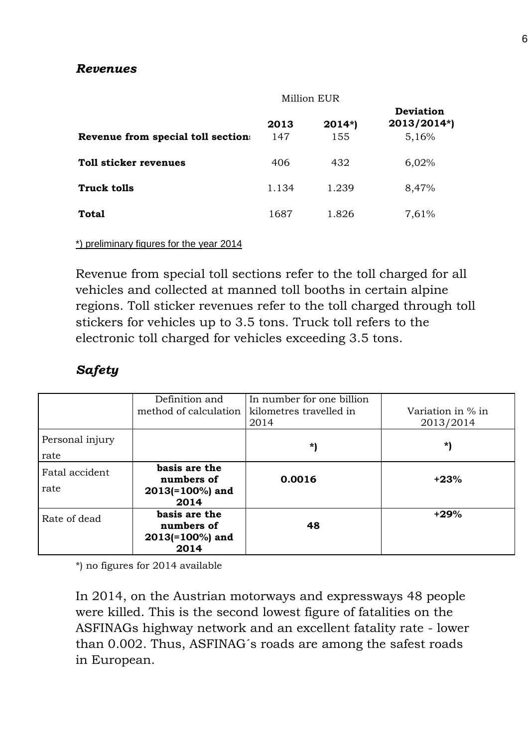### *Revenues*

|                                   | Million EUR |                 |                                          |
|-----------------------------------|-------------|-----------------|------------------------------------------|
| Revenue from special toll section | 2013<br>147 | $2014*)$<br>155 | <b>Deviation</b><br>2013/2014*)<br>5,16% |
| Toll sticker revenues             | 406         | 432             | 6,02%                                    |
| <b>Truck tolls</b>                | 1.134       | 1.239           | 8,47%                                    |
| Total                             | 1687        | 1.826           | 7,61%                                    |

#### \*) preliminary figures for the year 2014

Revenue from special toll sections refer to the toll charged for all vehicles and collected at manned toll booths in certain alpine regions. Toll sticker revenues refer to the toll charged through toll stickers for vehicles up to 3.5 tons. Truck toll refers to the electronic toll charged for vehicles exceeding 3.5 tons.

# *Safety*

|                         | Definition and<br>method of calculation                   | In number for one billion<br>kilometres travelled in<br>2014 | Variation in % in<br>2013/2014 |
|-------------------------|-----------------------------------------------------------|--------------------------------------------------------------|--------------------------------|
| Personal injury<br>rate |                                                           | *)                                                           | *)                             |
| Fatal accident<br>rate  | basis are the<br>numbers of<br>$2013(=100\%)$ and<br>2014 | 0.0016                                                       | $+23%$                         |
| Rate of dead            | basis are the<br>numbers of<br>$2013(=100\%)$ and<br>2014 | 48                                                           | $+29%$                         |

\*) no figures for 2014 available

In 2014, on the Austrian motorways and expressways 48 people were killed. This is the second lowest figure of fatalities on the ASFINAGs highway network and an excellent fatality rate - lower than 0.002. Thus, ASFINAG´s roads are among the safest roads in European.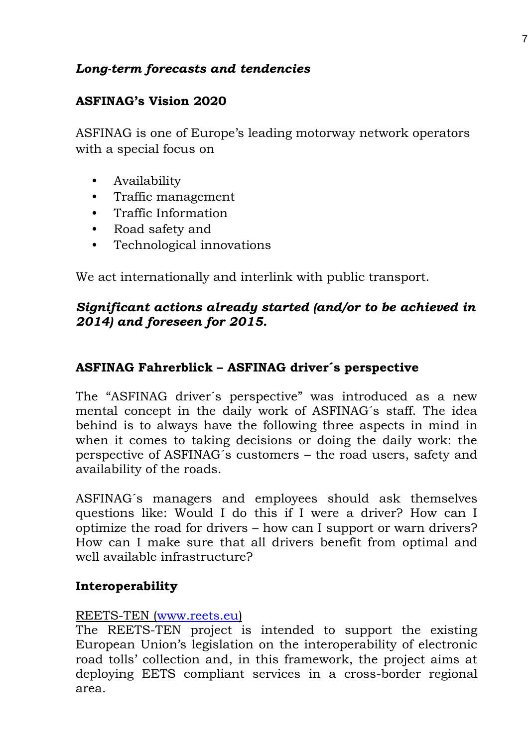# *Long-term forecasts and tendencies*

# **ASFINAG's Vision 2020**

ASFINAG is one of Europe's leading motorway network operators with a special focus on

- Availability
- Traffic management
- Traffic Information
- Road safety and
- Technological innovations

We act internationally and interlink with public transport.

# *Significant actions already started (and/or to be achieved in 2014) and foreseen for 2015.*

# **ASFINAG Fahrerblick – ASFINAG driver´s perspective**

The "ASFINAG driver´s perspective" was introduced as a new mental concept in the daily work of ASFINAG´s staff. The idea behind is to always have the following three aspects in mind in when it comes to taking decisions or doing the daily work: the perspective of ASFINAG´s customers – the road users, safety and availability of the roads.

ASFINAG´s managers and employees should ask themselves questions like: Would I do this if I were a driver? How can I optimize the road for drivers – how can I support or warn drivers? How can I make sure that all drivers benefit from optimal and well available infrastructure?

## **Interoperability**

#### REETS-TEN [\(www.reets.eu\)](http://www.reets.eu/)

The REETS-TEN project is intended to support the existing European Union's legislation on the interoperability of electronic road tolls' collection and, in this framework, the project aims at deploying EETS compliant services in a cross-border regional area.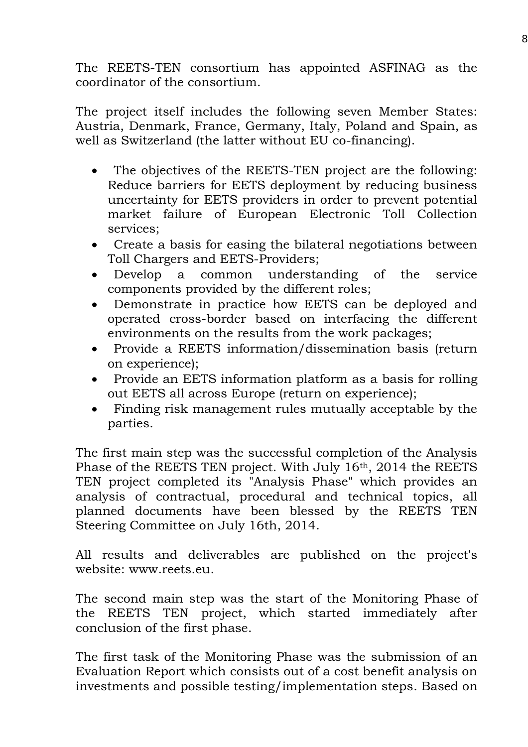The REETS-TEN consortium has appointed ASFINAG as the coordinator of the consortium.

The project itself includes the following seven Member States: Austria, Denmark, France, Germany, Italy, Poland and Spain, as well as Switzerland (the latter without EU co-financing).

- The objectives of the REETS-TEN project are the following: Reduce barriers for EETS deployment by reducing business uncertainty for EETS providers in order to prevent potential market failure of European Electronic Toll Collection services;
- Create a basis for easing the bilateral negotiations between Toll Chargers and EETS-Providers;
- Develop a common understanding of the service components provided by the different roles;
- Demonstrate in practice how EETS can be deployed and operated cross-border based on interfacing the different environments on the results from the work packages;
- Provide a REETS information/dissemination basis (return on experience);
- Provide an EETS information platform as a basis for rolling out EETS all across Europe (return on experience);
- Finding risk management rules mutually acceptable by the parties.

The first main step was the successful completion of the Analysis Phase of the REETS TEN project. With July 16th, 2014 the REETS TEN project completed its "Analysis Phase" which provides an analysis of contractual, procedural and technical topics, all planned documents have been blessed by the REETS TEN Steering Committee on July 16th, 2014.

All results and deliverables are published on the project's website: www.reets.eu.

The second main step was the start of the Monitoring Phase of the REETS TEN project, which started immediately after conclusion of the first phase.

The first task of the Monitoring Phase was the submission of an Evaluation Report which consists out of a cost benefit analysis on investments and possible testing/implementation steps. Based on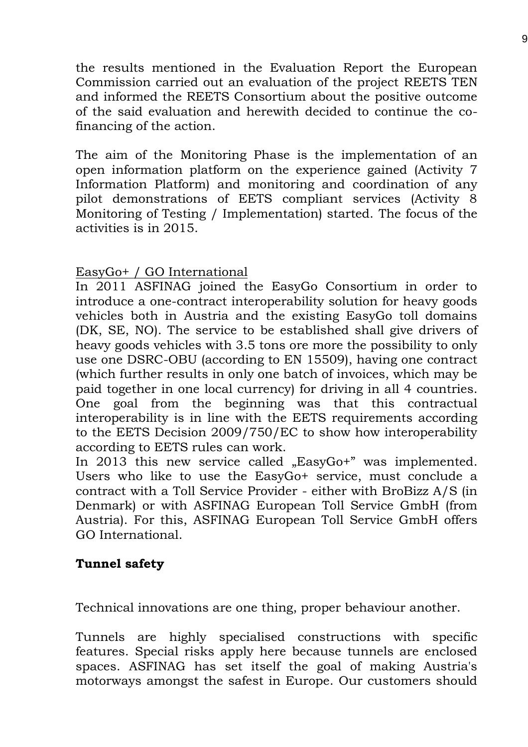the results mentioned in the Evaluation Report the European Commission carried out an evaluation of the project REETS TEN and informed the REETS Consortium about the positive outcome of the said evaluation and herewith decided to continue the cofinancing of the action.

The aim of the Monitoring Phase is the implementation of an open information platform on the experience gained (Activity 7 Information Platform) and monitoring and coordination of any pilot demonstrations of EETS compliant services (Activity 8 Monitoring of Testing / Implementation) started. The focus of the activities is in 2015.

## EasyGo+ / GO International

In 2011 ASFINAG joined the EasyGo Consortium in order to introduce a one-contract interoperability solution for heavy goods vehicles both in Austria and the existing EasyGo toll domains (DK, SE, NO). The service to be established shall give drivers of heavy goods vehicles with 3.5 tons ore more the possibility to only use one DSRC-OBU (according to EN 15509), having one contract (which further results in only one batch of invoices, which may be paid together in one local currency) for driving in all 4 countries. One goal from the beginning was that this contractual interoperability is in line with the EETS requirements according to the EETS Decision 2009/750/EC to show how interoperability according to EETS rules can work.

In 2013 this new service called "EasyGo+" was implemented. Users who like to use the EasyGo+ service, must conclude a contract with a Toll Service Provider - either with BroBizz A/S (in Denmark) or with ASFINAG European Toll Service GmbH (from Austria). For this, ASFINAG European Toll Service GmbH offers GO International.

#### **Tunnel safety**

Technical innovations are one thing, proper behaviour another.

Tunnels are highly specialised constructions with specific features. Special risks apply here because tunnels are enclosed spaces. ASFINAG has set itself the goal of making Austria's motorways amongst the safest in Europe. Our customers should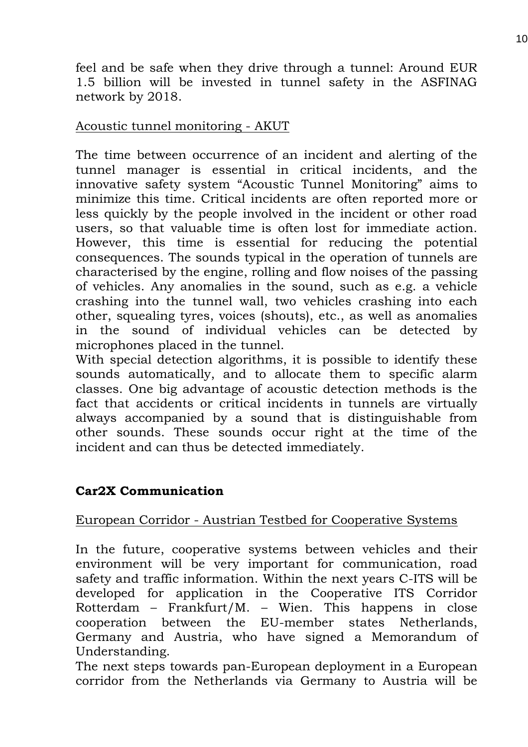feel and be safe when they drive through a tunnel: Around EUR 1.5 billion will be invested in tunnel safety in the ASFINAG network by 2018.

## Acoustic tunnel monitoring - AKUT

The time between occurrence of an incident and alerting of the tunnel manager is essential in critical incidents, and the innovative safety system "Acoustic Tunnel Monitoring" aims to minimize this time. Critical incidents are often reported more or less quickly by the people involved in the incident or other road users, so that valuable time is often lost for immediate action. However, this time is essential for reducing the potential consequences. The sounds typical in the operation of tunnels are characterised by the engine, rolling and flow noises of the passing of vehicles. Any anomalies in the sound, such as e.g. a vehicle crashing into the tunnel wall, two vehicles crashing into each other, squealing tyres, voices (shouts), etc., as well as anomalies in the sound of individual vehicles can be detected by microphones placed in the tunnel.

With special detection algorithms, it is possible to identify these sounds automatically, and to allocate them to specific alarm classes. One big advantage of acoustic detection methods is the fact that accidents or critical incidents in tunnels are virtually always accompanied by a sound that is distinguishable from other sounds. These sounds occur right at the time of the incident and can thus be detected immediately.

# **Car2X Communication**

## European Corridor - Austrian Testbed for Cooperative Systems

In the future, cooperative systems between vehicles and their environment will be very important for communication, road safety and traffic information. Within the next years C-ITS will be developed for application in the Cooperative ITS Corridor Rotterdam – Frankfurt/M. – Wien. This happens in close cooperation between the EU-member states Netherlands, Germany and Austria, who have signed a Memorandum of Understanding.

The next steps towards pan-European deployment in a European corridor from the Netherlands via Germany to Austria will be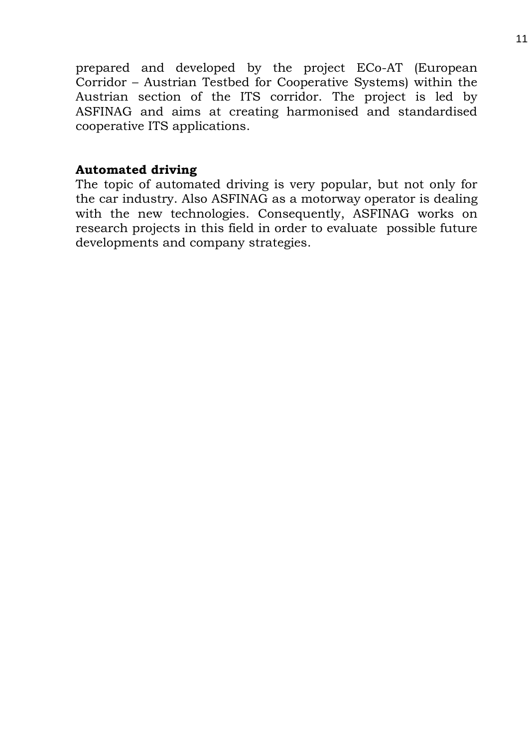prepared and developed by the project ECo-AT (European Corridor – Austrian Testbed for Cooperative Systems) within the Austrian section of the ITS corridor. The project is led by ASFINAG and aims at creating harmonised and standardised cooperative ITS applications.

### **Automated driving**

The topic of automated driving is very popular, but not only for the car industry. Also ASFINAG as a motorway operator is dealing with the new technologies. Consequently, ASFINAG works on research projects in this field in order to evaluate possible future developments and company strategies.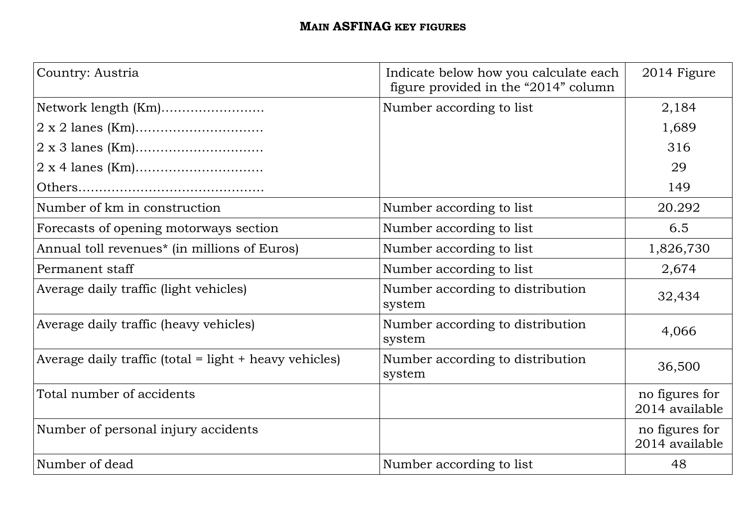# **MAIN ASFINAG KEY FIGURES**

| Country: Austria                                         | Indicate below how you calculate each<br>figure provided in the "2014" column | 2014 Figure                      |
|----------------------------------------------------------|-------------------------------------------------------------------------------|----------------------------------|
| Network length (Km)                                      | Number according to list                                                      | 2,184                            |
|                                                          |                                                                               | 1,689                            |
|                                                          |                                                                               | 316                              |
|                                                          |                                                                               | 29                               |
|                                                          |                                                                               | 149                              |
| Number of km in construction                             | Number according to list                                                      | 20.292                           |
| Forecasts of opening motorways section                   | Number according to list                                                      | 6.5                              |
| Annual toll revenues <sup>*</sup> (in millions of Euros) | Number according to list                                                      | 1,826,730                        |
| Permanent staff                                          | Number according to list                                                      | 2,674                            |
| Average daily traffic (light vehicles)                   | Number according to distribution<br>system                                    | 32,434                           |
| Average daily traffic (heavy vehicles)                   | Number according to distribution<br>system                                    | 4,066                            |
| Average daily traffic (total = light + heavy vehicles)   | Number according to distribution<br>system                                    | 36,500                           |
| Total number of accidents                                |                                                                               | no figures for<br>2014 available |
| Number of personal injury accidents                      |                                                                               | no figures for<br>2014 available |
| Number of dead                                           | Number according to list                                                      | 48                               |